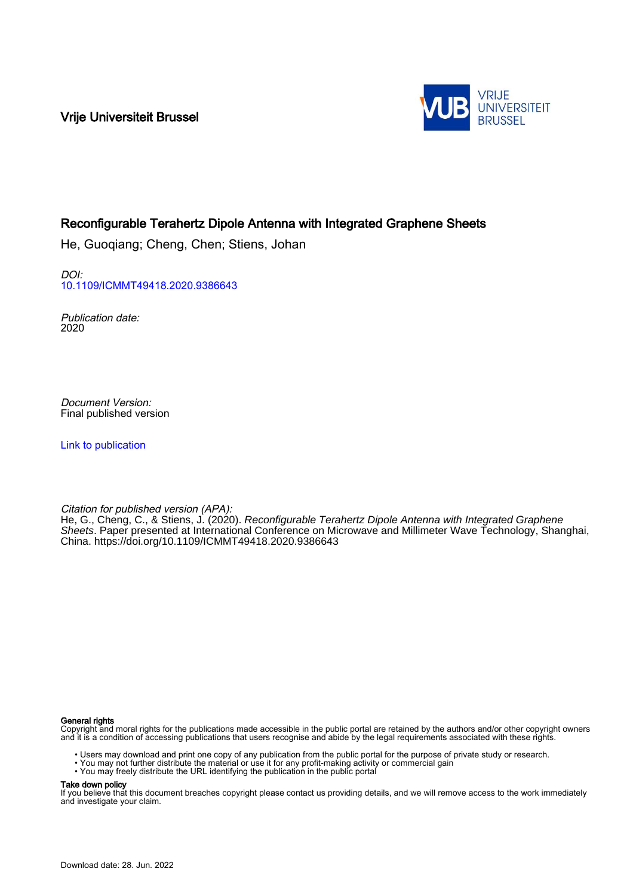Vrije Universiteit Brussel



# Reconfigurable Terahertz Dipole Antenna with Integrated Graphene Sheets

He, Guoqiang; Cheng, Chen; Stiens, Johan

DOI: [10.1109/ICMMT49418.2020.9386643](https://doi.org/10.1109/ICMMT49418.2020.9386643)

Publication date: 2020

Document Version: Final published version

[Link to publication](https://researchportal.vub.be/en/publications/b76cf821-fd3c-4bf6-806d-99e9d8a5e74f)

Citation for published version (APA):

He, G., Cheng, C., & Stiens, J. (2020). Reconfigurable Terahertz Dipole Antenna with Integrated Graphene Sheets. Paper presented at International Conference on Microwave and Millimeter Wave Technology, Shanghai, China. <https://doi.org/10.1109/ICMMT49418.2020.9386643>

## General rights

Copyright and moral rights for the publications made accessible in the public portal are retained by the authors and/or other copyright owners and it is a condition of accessing publications that users recognise and abide by the legal requirements associated with these rights.

• Users may download and print one copy of any publication from the public portal for the purpose of private study or research.<br>• You may not further distribute the material or use it for any profit-making activity or comm

- 
- 

Take down policy

If you believe that this document breaches copyright please contact us providing details, and we will remove access to the work immediately and investigate your claim.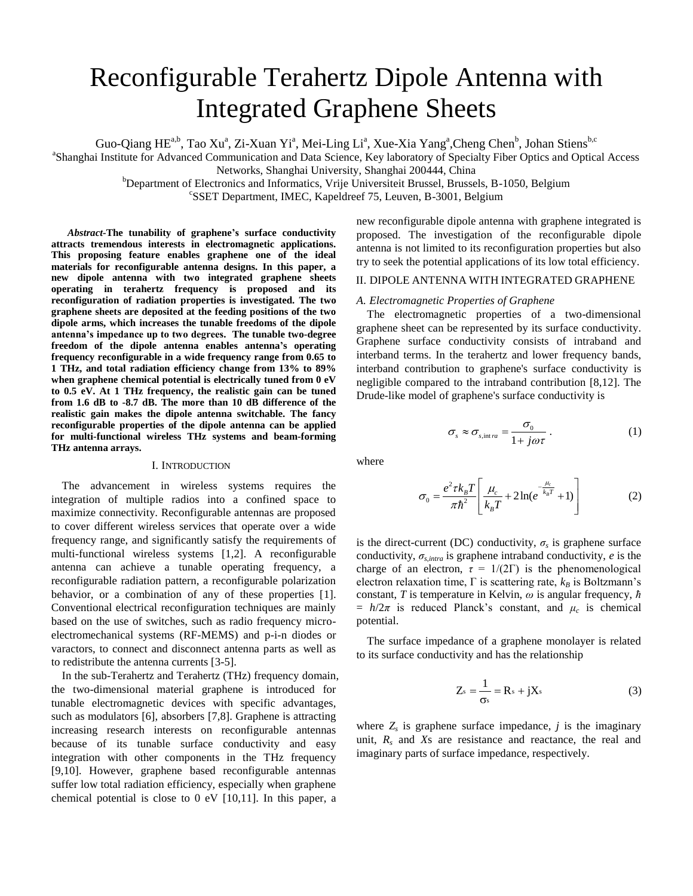# Reconfigurable Terahertz Dipole Antenna with Integrated Graphene Sheets

Guo-Qiang HE<sup>a,b</sup>, Tao Xu<sup>a</sup>, Zi-Xuan Yi<sup>a</sup>, Mei-Ling Li<sup>a</sup>, Xue-Xia Yang<sup>a</sup>,Cheng Chen<sup>b</sup>, Johan Stiens<sup>b,c</sup>

<sup>a</sup>Shanghai Institute for Advanced Communication and Data Science, Key laboratory of Specialty Fiber Optics and Optical Access

Networks, Shanghai University, Shanghai 200444, China

<sup>b</sup>Department of Electronics and Informatics, Vrije Universiteit Brussel, Brussels, B-1050, Belgium

c SSET Department, IMEC, Kapeldreef 75, Leuven, B-3001, Belgium

*Abstract-***The tunability of graphene's surface conductivity attracts tremendous interests in electromagnetic applications. This proposing feature enables graphene one of the ideal materials for reconfigurable antenna designs. In this paper, a new dipole antenna with two integrated graphene sheets operating in terahertz frequency is proposed and its reconfiguration of radiation properties is investigated. The two graphene sheets are deposited at the feeding positions of the two dipole arms, which increases the tunable freedoms of the dipole antenna's impedance up to two degrees. The tunable two-degree freedom of the dipole antenna enables antenna's operating frequency reconfigurable in a wide frequency range from 0.65 to 1 THz, and total radiation efficiency change from 13% to 89% when graphene chemical potential is electrically tuned from 0 eV to 0.5 eV. At 1 THz frequency, the realistic gain can be tuned from 1.6 dB to -8.7 dB. The more than 10 dB difference of the realistic gain makes the dipole antenna switchable. The fancy reconfigurable properties of the dipole antenna can be applied for multi-functional wireless THz systems and beam-forming THz antenna arrays.**

#### I. INTRODUCTION

The advancement in wireless systems requires the integration of multiple radios into a confined space to maximize connectivity. Reconfigurable antennas are proposed to cover different wireless services that operate over a wide frequency range, and significantly satisfy the requirements of multi-functional wireless systems [1,2]. A reconfigurable antenna can achieve a tunable operating frequency, a reconfigurable radiation pattern, a reconfigurable polarization behavior, or a combination of any of these properties [1]. Conventional electrical reconfiguration techniques are mainly based on the use of switches, such as radio frequency microelectromechanical systems (RF-MEMS) and p-i-n diodes or varactors, to connect and disconnect antenna parts as well as to redistribute the antenna currents [3-5].

In the sub-Terahertz and Terahertz (THz) frequency domain, the two-dimensional material graphene is introduced for tunable electromagnetic devices with specific advantages, such as modulators [6], absorbers [7,8]. Graphene is attracting increasing research interests on reconfigurable antennas because of its tunable surface conductivity and easy integration with other components in the THz frequency [9,10]. However, graphene based reconfigurable antennas suffer low total radiation efficiency, especially when graphene chemical potential is close to 0 eV [10,11]. In this paper, a

new reconfigurable dipole antenna with graphene integrated is proposed. The investigation of the reconfigurable dipole antenna is not limited to its reconfiguration properties but also try to seek the potential applications of its low total efficiency.

# II. DIPOLE ANTENNA WITH INTEGRATED GRAPHENE

#### *A. Electromagnetic Properties of Graphene*

The electromagnetic properties of a two-dimensional graphene sheet can be represented by its surface conductivity. Graphene surface conductivity consists of intraband and interband terms. In the terahertz and lower frequency bands, interband contribution to graphene's surface conductivity is negligible compared to the intraband contribution [8,12]. The Drude-like model of graphene's surface conductivity is

$$
\sigma_s \approx \sigma_{s,\text{int }ra} = \frac{\sigma_0}{1 + j\omega\tau} \,. \tag{1}
$$

where

$$
\sigma_0 = \frac{e^2 \tau k_B T}{\pi \hbar^2} \left[ \frac{\mu_c}{k_B T} + 2 \ln(e^{-\frac{\mu_c}{k_B T}} + 1) \right]
$$
(2)

is the direct-current (DC) conductivity,  $\sigma_s$  is graphene surface conductivity, *σs*,*intra* is graphene intraband conductivity, *e* is the charge of an electron,  $\tau = 1/(2\Gamma)$  is the phenomenological electron relaxation time,  $\Gamma$  is scattering rate,  $k_B$  is Boltzmann's constant, *T* is temperature in Kelvin, *ω* is angular frequency, *ћ*  $= h/2\pi$  is reduced Planck's constant, and  $\mu_c$  is chemical potential.

The surface impedance of a graphene monolayer is related to its surface conductivity and has the relationship

$$
Z_s = \frac{1}{\sigma_s} = R_s + jX_s \tag{3}
$$

where  $Z_s$  is graphene surface impedance,  $j$  is the imaginary unit,  $R_s$  and  $X_s$  are resistance and reactance, the real and imaginary parts of surface impedance, respectively.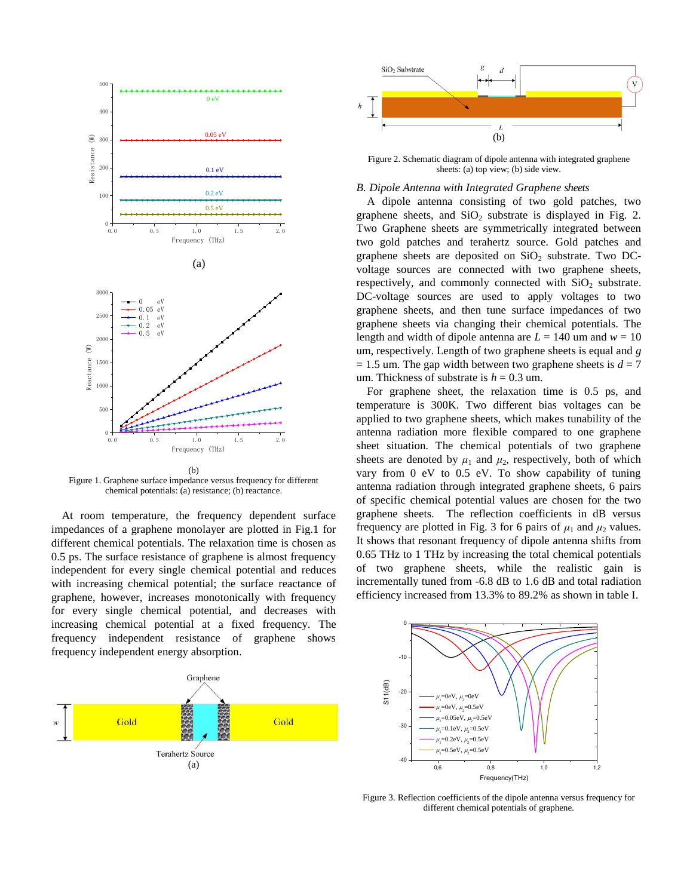

Figure 1. Graphene surface impedance versus frequency for different chemical potentials: (a) resistance; (b) reactance.

At room temperature, the frequency dependent surface impedances of a graphene monolayer are plotted in Fig.1 for different chemical potentials. The relaxation time is chosen as 0.5 ps. The surface resistance of graphene is almost frequency independent for every single chemical potential and reduces with increasing chemical potential; the surface reactance of graphene, however, increases monotonically with frequency for every single chemical potential, and decreases with increasing chemical potential at a fixed frequency. The frequency independent resistance of graphene shows frequency independent energy absorption.





Figure 2. Schematic diagram of dipole antenna with integrated graphene sheets: (a) top view; (b) side view.

# *B. Dipole Antenna with Integrated Graphene sheets*

A dipole antenna consisting of two gold patches, two graphene sheets, and  $SiO<sub>2</sub>$  substrate is displayed in Fig. 2. Two Graphene sheets are symmetrically integrated between two gold patches and terahertz source. Gold patches and graphene sheets are deposited on  $SiO<sub>2</sub>$  substrate. Two DCvoltage sources are connected with two graphene sheets, respectively, and commonly connected with  $SiO<sub>2</sub>$  substrate. DC-voltage sources are used to apply voltages to two graphene sheets, and then tune surface impedances of two graphene sheets via changing their chemical potentials. The length and width of dipole antenna are  $L = 140$  um and  $w = 10$ um, respectively. Length of two graphene sheets is equal and *g*  $= 1.5$  um. The gap width between two graphene sheets is  $d = 7$ um. Thickness of substrate is  $h = 0.3$  um.

For graphene sheet, the relaxation time is 0.5 ps, and temperature is 300K. Two different bias voltages can be applied to two graphene sheets, which makes tunability of the antenna radiation more flexible compared to one graphene sheet situation. The chemical potentials of two graphene sheets are denoted by  $\mu_1$  and  $\mu_2$ , respectively, both of which vary from 0 eV to 0.5 eV. To show capability of tuning antenna radiation through integrated graphene sheets, 6 pairs of specific chemical potential values are chosen for the two graphene sheets. The reflection coefficients in dB versus frequency are plotted in Fig. 3 for 6 pairs of  $\mu_1$  and  $\mu_2$  values. It shows that resonant frequency of dipole antenna shifts from 0.65 THz to 1 THz by increasing the total chemical potentials of two graphene sheets, while the realistic gain is incrementally tuned from -6.8 dB to 1.6 dB and total radiation efficiency increased from 13.3% to 89.2% as shown in table I.



Figure 3. Reflection coefficients of the dipole antenna versus frequency for different chemical potentials of graphene.